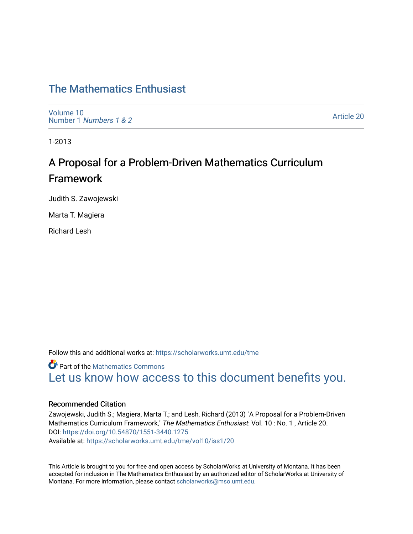## [The Mathematics Enthusiast](https://scholarworks.umt.edu/tme)

[Volume 10](https://scholarworks.umt.edu/tme/vol10) Number 1 [Numbers 1 & 2](https://scholarworks.umt.edu/tme/vol10/iss1)

[Article 20](https://scholarworks.umt.edu/tme/vol10/iss1/20) 

1-2013

# A Proposal for a Problem-Driven Mathematics Curriculum Framework

Judith S. Zawojewski

Marta T. Magiera

Richard Lesh

Follow this and additional works at: [https://scholarworks.umt.edu/tme](https://scholarworks.umt.edu/tme?utm_source=scholarworks.umt.edu%2Ftme%2Fvol10%2Fiss1%2F20&utm_medium=PDF&utm_campaign=PDFCoverPages) 

**Part of the [Mathematics Commons](http://network.bepress.com/hgg/discipline/174?utm_source=scholarworks.umt.edu%2Ftme%2Fvol10%2Fiss1%2F20&utm_medium=PDF&utm_campaign=PDFCoverPages)** [Let us know how access to this document benefits you.](https://goo.gl/forms/s2rGfXOLzz71qgsB2) 

#### Recommended Citation

Zawojewski, Judith S.; Magiera, Marta T.; and Lesh, Richard (2013) "A Proposal for a Problem-Driven Mathematics Curriculum Framework," The Mathematics Enthusiast: Vol. 10 : No. 1 , Article 20. DOI:<https://doi.org/10.54870/1551-3440.1275> Available at: [https://scholarworks.umt.edu/tme/vol10/iss1/20](https://scholarworks.umt.edu/tme/vol10/iss1/20?utm_source=scholarworks.umt.edu%2Ftme%2Fvol10%2Fiss1%2F20&utm_medium=PDF&utm_campaign=PDFCoverPages)

This Article is brought to you for free and open access by ScholarWorks at University of Montana. It has been accepted for inclusion in The Mathematics Enthusiast by an authorized editor of ScholarWorks at University of Montana. For more information, please contact [scholarworks@mso.umt.edu.](mailto:scholarworks@mso.umt.edu)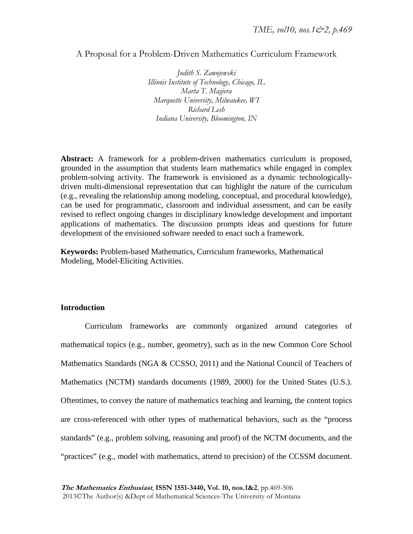## A Proposal for a Problem-Driven Mathematics Curriculum Framework

*Judith S. Zawojewski Illinois Institute of Technology, Chicago, IL Marta T. Magiera Marquette University, Milwaukee, WI Richard Lesh Indiana University, Bloomington, IN* 

**Abstract:** A framework for a problem-driven mathematics curriculum is proposed, grounded in the assumption that students learn mathematics while engaged in complex problem-solving activity. The framework is envisioned as a dynamic technologicallydriven multi-dimensional representation that can highlight the nature of the curriculum (e.g., revealing the relationship among modeling, conceptual, and procedural knowledge), can be used for programmatic, classroom and individual assessment, and can be easily revised to reflect ongoing changes in disciplinary knowledge development and important applications of mathematics. The discussion prompts ideas and questions for future development of the envisioned software needed to enact such a framework.

**Keywords:** Problem-based Mathematics, Curriculum frameworks, Mathematical Modeling, Model-Eliciting Activities.

#### **Introduction**

Curriculum frameworks are commonly organized around categories of mathematical topics (e.g., number, geometry), such as in the new Common Core School Mathematics Standards (NGA & CCSSO, 2011) and the National Council of Teachers of Mathematics (NCTM) standards documents (1989, 2000) for the United States (U.S.). Oftentimes, to convey the nature of mathematics teaching and learning, the content topics are cross-referenced with other types of mathematical behaviors, such as the "process standards" (e.g., problem solving, reasoning and proof) of the NCTM documents, and the "practices" (e.g., model with mathematics, attend to precision) of the CCSSM document.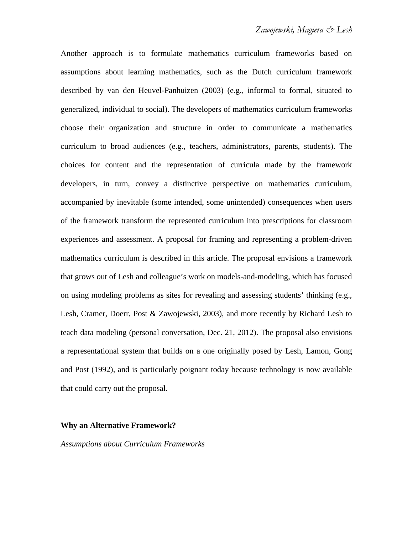Another approach is to formulate mathematics curriculum frameworks based on assumptions about learning mathematics, such as the Dutch curriculum framework described by van den Heuvel-Panhuizen (2003) (e.g., informal to formal, situated to generalized, individual to social). The developers of mathematics curriculum frameworks choose their organization and structure in order to communicate a mathematics curriculum to broad audiences (e.g., teachers, administrators, parents, students). The choices for content and the representation of curricula made by the framework developers, in turn, convey a distinctive perspective on mathematics curriculum, accompanied by inevitable (some intended, some unintended) consequences when users of the framework transform the represented curriculum into prescriptions for classroom experiences and assessment. A proposal for framing and representing a problem-driven mathematics curriculum is described in this article. The proposal envisions a framework that grows out of Lesh and colleague's work on models-and-modeling, which has focused on using modeling problems as sites for revealing and assessing students' thinking (e.g., Lesh, Cramer, Doerr, Post & Zawojewski, 2003), and more recently by Richard Lesh to teach data modeling (personal conversation, Dec. 21, 2012). The proposal also envisions a representational system that builds on a one originally posed by Lesh, Lamon, Gong and Post (1992), and is particularly poignant today because technology is now available that could carry out the proposal.

#### **Why an Alternative Framework?**

*Assumptions about Curriculum Frameworks*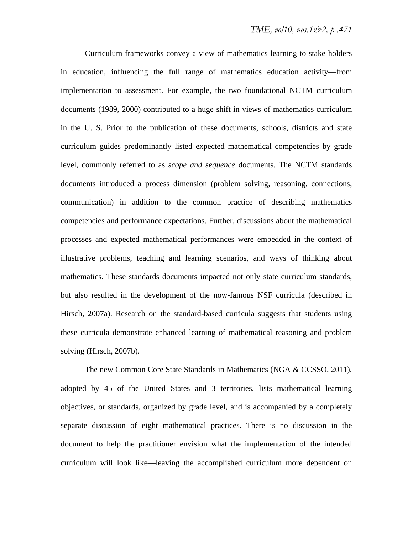Curriculum frameworks convey a view of mathematics learning to stake holders in education, influencing the full range of mathematics education activity—from implementation to assessment. For example, the two foundational NCTM curriculum documents (1989, 2000) contributed to a huge shift in views of mathematics curriculum in the U. S. Prior to the publication of these documents, schools, districts and state curriculum guides predominantly listed expected mathematical competencies by grade level, commonly referred to as *scope and sequence* documents. The NCTM standards documents introduced a process dimension (problem solving, reasoning, connections, communication) in addition to the common practice of describing mathematics competencies and performance expectations. Further, discussions about the mathematical processes and expected mathematical performances were embedded in the context of illustrative problems, teaching and learning scenarios, and ways of thinking about mathematics. These standards documents impacted not only state curriculum standards, but also resulted in the development of the now-famous NSF curricula (described in Hirsch, 2007a). Research on the standard-based curricula suggests that students using these curricula demonstrate enhanced learning of mathematical reasoning and problem solving (Hirsch, 2007b).

The new Common Core State Standards in Mathematics (NGA & CCSSO, 2011), adopted by 45 of the United States and 3 territories, lists mathematical learning objectives, or standards, organized by grade level, and is accompanied by a completely separate discussion of eight mathematical practices. There is no discussion in the document to help the practitioner envision what the implementation of the intended curriculum will look like—leaving the accomplished curriculum more dependent on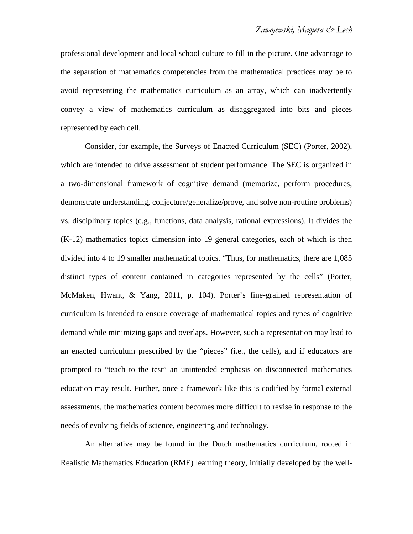professional development and local school culture to fill in the picture. One advantage to the separation of mathematics competencies from the mathematical practices may be to avoid representing the mathematics curriculum as an array, which can inadvertently convey a view of mathematics curriculum as disaggregated into bits and pieces represented by each cell.

Consider, for example, the Surveys of Enacted Curriculum (SEC) (Porter, 2002), which are intended to drive assessment of student performance. The SEC is organized in a two-dimensional framework of cognitive demand (memorize, perform procedures, demonstrate understanding, conjecture/generalize/prove, and solve non-routine problems) vs. disciplinary topics (e.g., functions, data analysis, rational expressions). It divides the (K-12) mathematics topics dimension into 19 general categories, each of which is then divided into 4 to 19 smaller mathematical topics. "Thus, for mathematics, there are 1,085 distinct types of content contained in categories represented by the cells" (Porter, McMaken, Hwant, & Yang, 2011, p. 104). Porter's fine-grained representation of curriculum is intended to ensure coverage of mathematical topics and types of cognitive demand while minimizing gaps and overlaps. However, such a representation may lead to an enacted curriculum prescribed by the "pieces" (i.e., the cells), and if educators are prompted to "teach to the test" an unintended emphasis on disconnected mathematics education may result. Further, once a framework like this is codified by formal external assessments, the mathematics content becomes more difficult to revise in response to the needs of evolving fields of science, engineering and technology.

An alternative may be found in the Dutch mathematics curriculum, rooted in Realistic Mathematics Education (RME) learning theory, initially developed by the well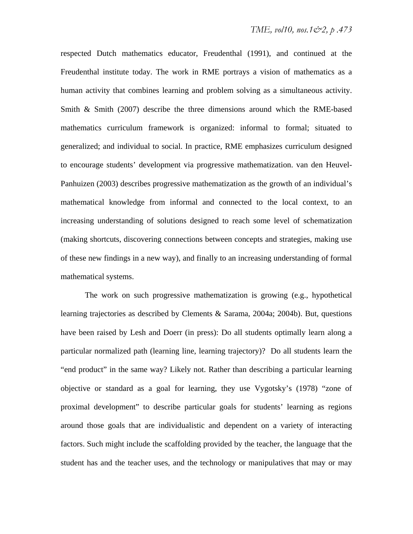respected Dutch mathematics educator, Freudenthal (1991), and continued at the Freudenthal institute today. The work in RME portrays a vision of mathematics as a human activity that combines learning and problem solving as a simultaneous activity. Smith & Smith (2007) describe the three dimensions around which the RME-based mathematics curriculum framework is organized: informal to formal; situated to generalized; and individual to social. In practice, RME emphasizes curriculum designed to encourage students' development via progressive mathematization. van den Heuvel-Panhuizen (2003) describes progressive mathematization as the growth of an individual's mathematical knowledge from informal and connected to the local context, to an increasing understanding of solutions designed to reach some level of schematization (making shortcuts, discovering connections between concepts and strategies, making use of these new findings in a new way), and finally to an increasing understanding of formal mathematical systems.

The work on such progressive mathematization is growing (e.g., hypothetical learning trajectories as described by Clements & Sarama, 2004a; 2004b). But, questions have been raised by Lesh and Doerr (in press): Do all students optimally learn along a particular normalized path (learning line, learning trajectory)? Do all students learn the "end product" in the same way? Likely not. Rather than describing a particular learning objective or standard as a goal for learning, they use Vygotsky's (1978) "zone of proximal development" to describe particular goals for students' learning as regions around those goals that are individualistic and dependent on a variety of interacting factors. Such might include the scaffolding provided by the teacher, the language that the student has and the teacher uses, and the technology or manipulatives that may or may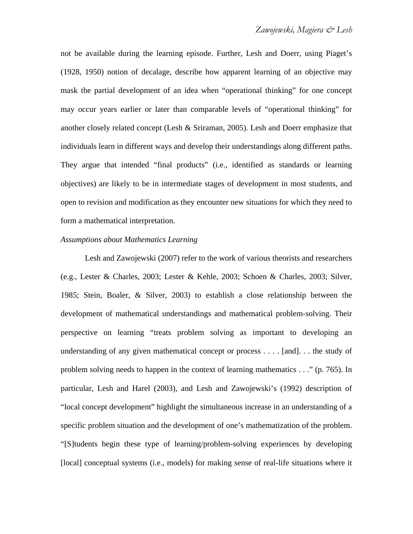not be available during the learning episode. Further, Lesh and Doerr, using Piaget's (1928, 1950) notion of decalage, describe how apparent learning of an objective may mask the partial development of an idea when "operational thinking" for one concept may occur years earlier or later than comparable levels of "operational thinking" for another closely related concept (Lesh & Sriraman, 2005). Lesh and Doerr emphasize that individuals learn in different ways and develop their understandings along different paths. They argue that intended "final products" (i.e., identified as standards or learning objectives) are likely to be in intermediate stages of development in most students, and open to revision and modification as they encounter new situations for which they need to form a mathematical interpretation.

#### *Assumptions about Mathematics Learning*

Lesh and Zawojewski (2007) refer to the work of various theorists and researchers (e.g., Lester & Charles, 2003; Lester & Kehle, 2003; Schoen & Charles, 2003; Silver, 1985; Stein, Boaler, & Silver, 2003) to establish a close relationship between the development of mathematical understandings and mathematical problem-solving. Their perspective on learning "treats problem solving as important to developing an understanding of any given mathematical concept or process . . . . [and]. . . the study of problem solving needs to happen in the context of learning mathematics . . ." (p. 765). In particular, Lesh and Harel (2003), and Lesh and Zawojewski's (1992) description of "local concept development" highlight the simultaneous increase in an understanding of a specific problem situation and the development of one's mathematization of the problem. "[S]tudents begin these type of learning/problem-solving experiences by developing [local] conceptual systems (i.e., models) for making sense of real-life situations where it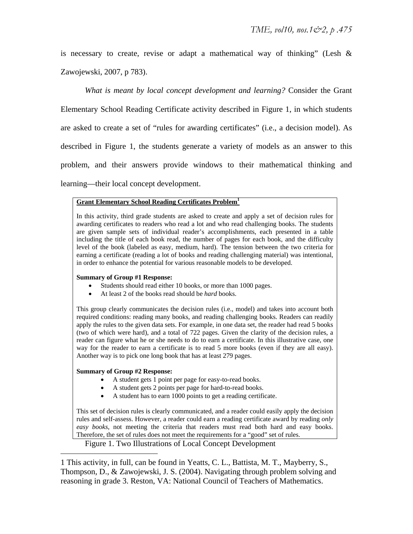is necessary to create, revise or adapt a mathematical way of thinking" (Lesh  $\&$ Zawojewski, 2007, p 783).

*What is meant by local concept development and learning?* Consider the Grant Elementary School Reading Certificate activity described in Figure 1, in which students are asked to create a set of "rules for awarding certificates" (i.e., a decision model). As described in Figure 1, the students generate a variety of models as an answer to this problem, and their answers provide windows to their mathematical thinking and learning—their local concept development.

#### **Grant Elementary School Reading Certificates Problem1**

In this activity, third grade students are asked to create and apply a set of decision rules for awarding certificates to readers who read a lot and who read challenging books. The students are given sample sets of individual reader's accomplishments, each presented in a table including the title of each book read, the number of pages for each book, and the difficulty level of the book (labeled as easy, medium, hard). The tension between the two criteria for earning a certificate (reading a lot of books and reading challenging material) was intentional, in order to enhance the potential for various reasonable models to be developed.

#### **Summary of Group #1 Response:**

- Students should read either 10 books, or more than 1000 pages.
- At least 2 of the books read should be *hard* books.

This group clearly communicates the decision rules (i.e., model) and takes into account both required conditions: reading many books, and reading challenging books. Readers can readily apply the rules to the given data sets. For example, in one data set, the reader had read 5 books (two of which were hard), and a total of 722 pages. Given the clarity of the decision rules, a reader can figure what he or she needs to do to earn a certificate. In this illustrative case, one way for the reader to earn a certificate is to read 5 more books (even if they are all easy). Another way is to pick one long book that has at least 279 pages.

#### **Summary of Group #2 Response:**

 $\overline{a}$ 

- A student gets 1 point per page for easy-to-read books.
- A student gets 2 points per page for hard-to-read books.
- A student has to earn 1000 points to get a reading certificate.

This set of decision rules is clearly communicated, and a reader could easily apply the decision rules and self-assess. However, a reader could earn a reading certificate award by reading *only easy books*, not meeting the criteria that readers must read both hard and easy books. Therefore, the set of rules does not meet the requirements for a "good" set of rules.

Figure 1. Two Illustrations of Local Concept Development

1 This activity, in full, can be found in Yeatts, C. L., Battista, M. T., Mayberry, S., Thompson, D., & Zawojewski, J. S. (2004). Navigating through problem solving and reasoning in grade 3. Reston, VA: National Council of Teachers of Mathematics.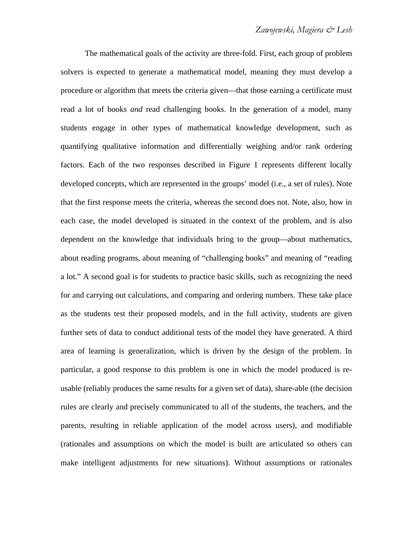The mathematical goals of the activity are three-fold. First, each group of problem solvers is expected to generate a mathematical model, meaning they must develop a procedure or algorithm that meets the criteria given—that those earning a certificate must read a lot of books *and* read challenging books. In the generation of a model, many students engage in other types of mathematical knowledge development, such as quantifying qualitative information and differentially weighing and/or rank ordering factors. Each of the two responses described in Figure 1 represents different locally developed concepts, which are represented in the groups' model (i.e., a set of rules). Note that the first response meets the criteria, whereas the second does not. Note, also, how in each case, the model developed is situated in the context of the problem, and is also dependent on the knowledge that individuals bring to the group—about mathematics, about reading programs, about meaning of "challenging books" and meaning of "reading a lot." A second goal is for students to practice basic skills, such as recognizing the need for and carrying out calculations, and comparing and ordering numbers. These take place as the students test their proposed models, and in the full activity, students are given further sets of data to conduct additional tests of the model they have generated. A third area of learning is generalization, which is driven by the design of the problem. In particular, a good response to this problem is one in which the model produced is reusable (reliably produces the same results for a given set of data), share-able (the decision rules are clearly and precisely communicated to all of the students, the teachers, and the parents, resulting in reliable application of the model across users), and modifiable (rationales and assumptions on which the model is built are articulated so others can make intelligent adjustments for new situations). Without assumptions or rationales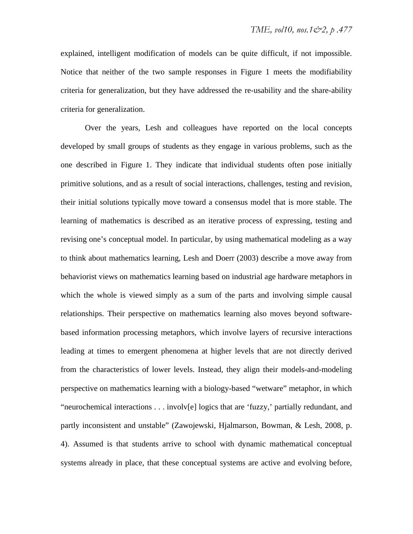explained, intelligent modification of models can be quite difficult, if not impossible. Notice that neither of the two sample responses in Figure 1 meets the modifiability criteria for generalization, but they have addressed the re-usability and the share-ability criteria for generalization.

Over the years, Lesh and colleagues have reported on the local concepts developed by small groups of students as they engage in various problems, such as the one described in Figure 1. They indicate that individual students often pose initially primitive solutions, and as a result of social interactions, challenges, testing and revision, their initial solutions typically move toward a consensus model that is more stable. The learning of mathematics is described as an iterative process of expressing, testing and revising one's conceptual model. In particular, by using mathematical modeling as a way to think about mathematics learning, Lesh and Doerr (2003) describe a move away from behaviorist views on mathematics learning based on industrial age hardware metaphors in which the whole is viewed simply as a sum of the parts and involving simple causal relationships. Their perspective on mathematics learning also moves beyond softwarebased information processing metaphors, which involve layers of recursive interactions leading at times to emergent phenomena at higher levels that are not directly derived from the characteristics of lower levels. Instead, they align their models-and-modeling perspective on mathematics learning with a biology-based "wetware" metaphor, in which "neurochemical interactions . . . involv[e] logics that are 'fuzzy,' partially redundant, and partly inconsistent and unstable" (Zawojewski, Hjalmarson, Bowman, & Lesh, 2008, p. 4). Assumed is that students arrive to school with dynamic mathematical conceptual systems already in place, that these conceptual systems are active and evolving before,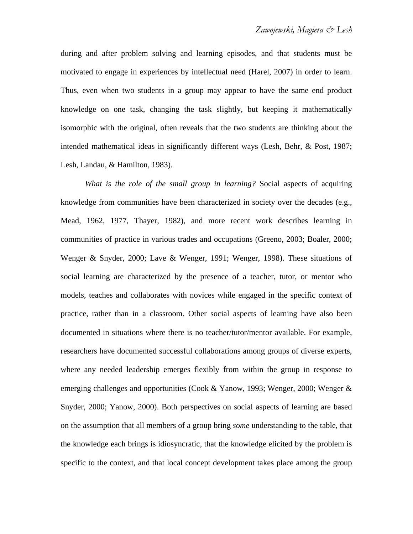during and after problem solving and learning episodes, and that students must be motivated to engage in experiences by intellectual need (Harel, 2007) in order to learn. Thus, even when two students in a group may appear to have the same end product knowledge on one task, changing the task slightly, but keeping it mathematically isomorphic with the original, often reveals that the two students are thinking about the intended mathematical ideas in significantly different ways (Lesh, Behr, & Post, 1987; Lesh, Landau, & Hamilton, 1983).

*What is the role of the small group in learning?* Social aspects of acquiring knowledge from communities have been characterized in society over the decades (e.g., Mead, 1962, 1977, Thayer, 1982), and more recent work describes learning in communities of practice in various trades and occupations (Greeno, 2003; Boaler, 2000; Wenger & Snyder, 2000; Lave & Wenger, 1991; Wenger, 1998). These situations of social learning are characterized by the presence of a teacher, tutor, or mentor who models, teaches and collaborates with novices while engaged in the specific context of practice, rather than in a classroom. Other social aspects of learning have also been documented in situations where there is no teacher/tutor/mentor available. For example, researchers have documented successful collaborations among groups of diverse experts, where any needed leadership emerges flexibly from within the group in response to emerging challenges and opportunities (Cook & Yanow, 1993; Wenger, 2000; Wenger & Snyder, 2000; Yanow, 2000). Both perspectives on social aspects of learning are based on the assumption that all members of a group bring *some* understanding to the table, that the knowledge each brings is idiosyncratic, that the knowledge elicited by the problem is specific to the context, and that local concept development takes place among the group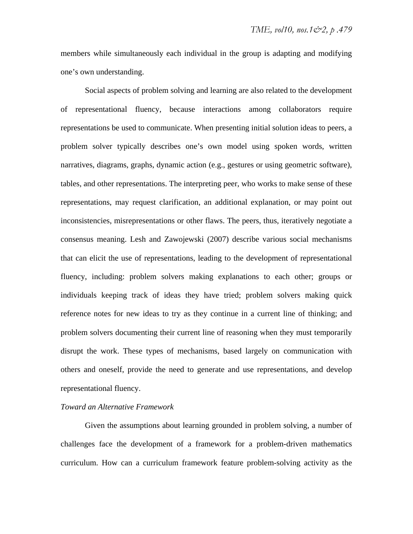members while simultaneously each individual in the group is adapting and modifying one's own understanding.

Social aspects of problem solving and learning are also related to the development of representational fluency, because interactions among collaborators require representations be used to communicate. When presenting initial solution ideas to peers, a problem solver typically describes one's own model using spoken words, written narratives, diagrams, graphs, dynamic action (e.g., gestures or using geometric software), tables, and other representations. The interpreting peer, who works to make sense of these representations, may request clarification, an additional explanation, or may point out inconsistencies, misrepresentations or other flaws. The peers, thus, iteratively negotiate a consensus meaning. Lesh and Zawojewski (2007) describe various social mechanisms that can elicit the use of representations, leading to the development of representational fluency, including: problem solvers making explanations to each other; groups or individuals keeping track of ideas they have tried; problem solvers making quick reference notes for new ideas to try as they continue in a current line of thinking; and problem solvers documenting their current line of reasoning when they must temporarily disrupt the work. These types of mechanisms, based largely on communication with others and oneself, provide the need to generate and use representations, and develop representational fluency.

### *Toward an Alternative Framework*

Given the assumptions about learning grounded in problem solving, a number of challenges face the development of a framework for a problem-driven mathematics curriculum. How can a curriculum framework feature problem-solving activity as the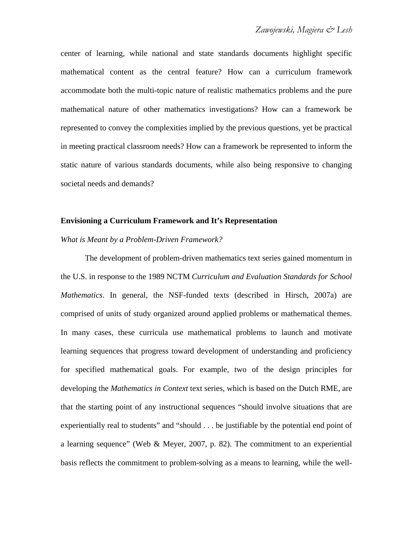center of learning, while national and state standards documents highlight specific mathematical content as the central feature? How can a curriculum framework accommodate both the multi-topic nature of realistic mathematics problems and the pure mathematical nature of other mathematics investigations? How can a framework be represented to convey the complexities implied by the previous questions, yet be practical in meeting practical classroom needs? How can a framework be represented to inform the static nature of various standards documents, while also being responsive to changing societal needs and demands?

#### **Envisioning a Curriculum Framework and It's Representation**

#### *What is Meant by a Problem-Driven Framework?*

The development of problem-driven mathematics text series gained momentum in the U.S. in response to the 1989 NCTM *Curriculum and Evaluation Standards for School Mathematics*. In general, the NSF-funded texts (described in Hirsch, 2007a) are comprised of units of study organized around applied problems or mathematical themes. In many cases, these curricula use mathematical problems to launch and motivate learning sequences that progress toward development of understanding and proficiency for specified mathematical goals. For example, two of the design principles for developing the *Mathematics in Context* text series, which is based on the Dutch RME, are that the starting point of any instructional sequences "should involve situations that are experientially real to students" and "should . . . be justifiable by the potential end point of a learning sequence" (Web & Meyer, 2007, p. 82). The commitment to an experiential basis reflects the commitment to problem-solving as a means to learning, while the well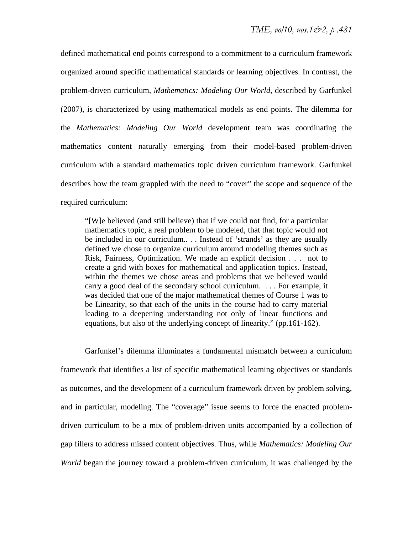defined mathematical end points correspond to a commitment to a curriculum framework organized around specific mathematical standards or learning objectives. In contrast, the problem-driven curriculum, *Mathematics: Modeling Our World,* described by Garfunkel (2007), is characterized by using mathematical models as end points. The dilemma for the *Mathematics: Modeling Our World* development team was coordinating the mathematics content naturally emerging from their model-based problem-driven curriculum with a standard mathematics topic driven curriculum framework. Garfunkel describes how the team grappled with the need to "cover" the scope and sequence of the required curriculum:

"[W]e believed (and still believe) that if we could not find, for a particular mathematics topic, a real problem to be modeled, that that topic would not be included in our curriculum.. . . Instead of 'strands' as they are usually defined we chose to organize curriculum around modeling themes such as Risk, Fairness, Optimization. We made an explicit decision . . . not to create a grid with boxes for mathematical and application topics. Instead, within the themes we chose areas and problems that we believed would carry a good deal of the secondary school curriculum. . . . For example, it was decided that one of the major mathematical themes of Course 1 was to be Linearity, so that each of the units in the course had to carry material leading to a deepening understanding not only of linear functions and equations, but also of the underlying concept of linearity." (pp.161-162).

Garfunkel's dilemma illuminates a fundamental mismatch between a curriculum framework that identifies a list of specific mathematical learning objectives or standards as outcomes, and the development of a curriculum framework driven by problem solving, and in particular, modeling. The "coverage" issue seems to force the enacted problemdriven curriculum to be a mix of problem-driven units accompanied by a collection of gap fillers to address missed content objectives. Thus, while *Mathematics: Modeling Our World* began the journey toward a problem-driven curriculum, it was challenged by the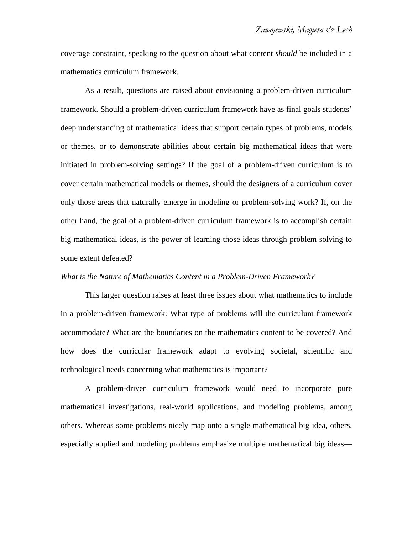coverage constraint, speaking to the question about what content *should* be included in a mathematics curriculum framework.

As a result, questions are raised about envisioning a problem-driven curriculum framework. Should a problem-driven curriculum framework have as final goals students' deep understanding of mathematical ideas that support certain types of problems, models or themes, or to demonstrate abilities about certain big mathematical ideas that were initiated in problem-solving settings? If the goal of a problem-driven curriculum is to cover certain mathematical models or themes, should the designers of a curriculum cover only those areas that naturally emerge in modeling or problem-solving work? If, on the other hand, the goal of a problem-driven curriculum framework is to accomplish certain big mathematical ideas, is the power of learning those ideas through problem solving to some extent defeated?

#### *What is the Nature of Mathematics Content in a Problem-Driven Framework?*

This larger question raises at least three issues about what mathematics to include in a problem-driven framework: What type of problems will the curriculum framework accommodate? What are the boundaries on the mathematics content to be covered? And how does the curricular framework adapt to evolving societal, scientific and technological needs concerning what mathematics is important?

A problem-driven curriculum framework would need to incorporate pure mathematical investigations, real-world applications, and modeling problems, among others. Whereas some problems nicely map onto a single mathematical big idea, others, especially applied and modeling problems emphasize multiple mathematical big ideas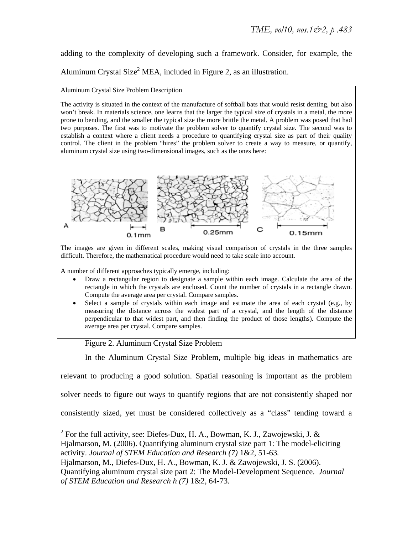adding to the complexity of developing such a framework. Consider, for example, the Aluminum Crystal Size<sup>2</sup> MEA, included in Figure 2, as an illustration.

#### Aluminum Crystal Size Problem Description

The activity is situated in the context of the manufacture of softball bats that would resist denting, but also won't break. In materials science, one learns that the larger the typical size of crystals in a metal, the more prone to bending, and the smaller the typical size the more brittle the metal. A problem was posed that had two purposes. The first was to motivate the problem solver to quantify crystal size. The second was to establish a context where a client needs a procedure to quantifying crystal size as part of their quality control. The client in the problem "hires" the problem solver to create a way to measure, or quantify, aluminum crystal size using two-dimensional images, such as the ones here:



The images are given in different scales, making visual comparison of crystals in the three samples difficult. Therefore, the mathematical procedure would need to take scale into account.

A number of different approaches typically emerge, including:

- Draw a rectangular region to designate a sample within each image. Calculate the area of the rectangle in which the crystals are enclosed. Count the number of crystals in a rectangle drawn. Compute the average area per crystal. Compare samples.
- Select a sample of crystals within each image and estimate the area of each crystal (e.g., by measuring the distance across the widest part of a crystal, and the length of the distance perpendicular to that widest part, and then finding the product of those lengths). Compute the average area per crystal. Compare samples.

## Figure 2. Aluminum Crystal Size Problem

In the Aluminum Crystal Size Problem, multiple big ideas in mathematics are

relevant to producing a good solution. Spatial reasoning is important as the problem

solver needs to figure out ways to quantify regions that are not consistently shaped nor

consistently sized, yet must be considered collectively as a "class" tending toward a

<sup>&</sup>lt;sup>2</sup> For the full activity, see: Diefes-Dux, H. A., Bowman, K. J., Zawojewski, J. & Hjalmarson, M. (2006). Quantifying aluminum crystal size part 1: The model-eliciting

activity. *Journal of STEM Education and Research (7)* 1&2, 51-63*.* 

Hjalmarson, M., Diefes-Dux, H. A., Bowman, K. J. & Zawojewski, J. S. (2006).

Quantifying aluminum crystal size part 2: The Model-Development Sequence. *Journal of STEM Education and Research h (7)* 1&2, 64-73*.*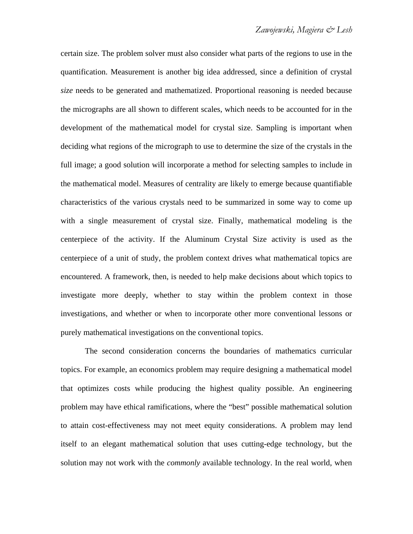certain size. The problem solver must also consider what parts of the regions to use in the quantification. Measurement is another big idea addressed, since a definition of crystal *size* needs to be generated and mathematized. Proportional reasoning is needed because the micrographs are all shown to different scales, which needs to be accounted for in the development of the mathematical model for crystal size. Sampling is important when deciding what regions of the micrograph to use to determine the size of the crystals in the full image; a good solution will incorporate a method for selecting samples to include in the mathematical model. Measures of centrality are likely to emerge because quantifiable characteristics of the various crystals need to be summarized in some way to come up with a single measurement of crystal size. Finally, mathematical modeling is the centerpiece of the activity. If the Aluminum Crystal Size activity is used as the centerpiece of a unit of study, the problem context drives what mathematical topics are encountered. A framework, then, is needed to help make decisions about which topics to investigate more deeply, whether to stay within the problem context in those investigations, and whether or when to incorporate other more conventional lessons or purely mathematical investigations on the conventional topics.

The second consideration concerns the boundaries of mathematics curricular topics. For example, an economics problem may require designing a mathematical model that optimizes costs while producing the highest quality possible. An engineering problem may have ethical ramifications, where the "best" possible mathematical solution to attain cost-effectiveness may not meet equity considerations. A problem may lend itself to an elegant mathematical solution that uses cutting-edge technology, but the solution may not work with the *commonly* available technology. In the real world, when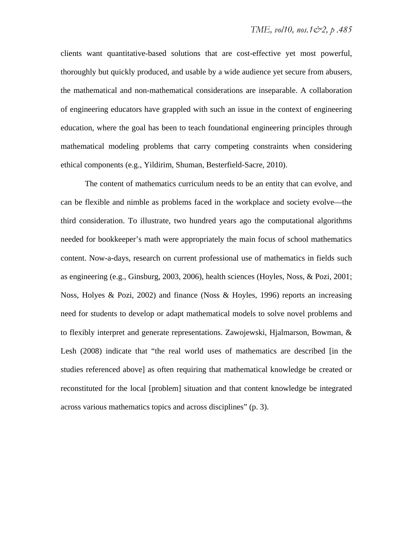clients want quantitative-based solutions that are cost-effective yet most powerful, thoroughly but quickly produced, and usable by a wide audience yet secure from abusers, the mathematical and non-mathematical considerations are inseparable. A collaboration of engineering educators have grappled with such an issue in the context of engineering education, where the goal has been to teach foundational engineering principles through mathematical modeling problems that carry competing constraints when considering ethical components (e.g., Yildirim, Shuman, Besterfield-Sacre, 2010).

The content of mathematics curriculum needs to be an entity that can evolve, and can be flexible and nimble as problems faced in the workplace and society evolve—the third consideration. To illustrate, two hundred years ago the computational algorithms needed for bookkeeper's math were appropriately the main focus of school mathematics content. Now-a-days, research on current professional use of mathematics in fields such as engineering (e.g., Ginsburg, 2003, 2006), health sciences (Hoyles, Noss, & Pozi, 2001; Noss, Holyes & Pozi, 2002) and finance (Noss & Hoyles, 1996) reports an increasing need for students to develop or adapt mathematical models to solve novel problems and to flexibly interpret and generate representations. Zawojewski, Hjalmarson, Bowman, & Lesh (2008) indicate that "the real world uses of mathematics are described [in the studies referenced above] as often requiring that mathematical knowledge be created or reconstituted for the local [problem] situation and that content knowledge be integrated across various mathematics topics and across disciplines" (p. 3).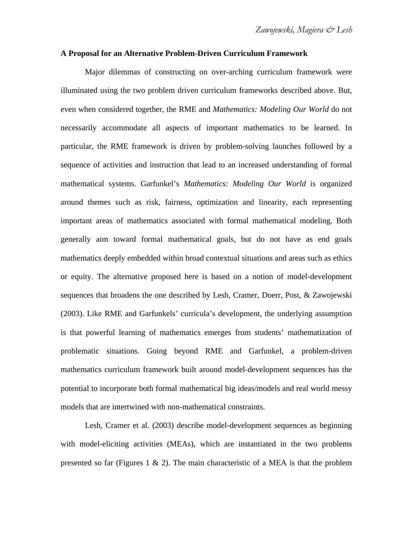#### **A Proposal for an Alternative Problem-Driven Curriculum Framework**

Major dilemmas of constructing on over-arching curriculum framework were illuminated using the two problem driven curriculum frameworks described above. But, even when considered together, the RME and *Mathematics: Modeling Our World* do not necessarily accommodate all aspects of important mathematics to be learned. In particular, the RME framework is driven by problem-solving launches followed by a sequence of activities and instruction that lead to an increased understanding of formal mathematical systems. Garfunkel's *Mathematics: Modeling Our World* is organized around themes such as risk, fairness, optimization and linearity, each representing important areas of mathematics associated with formal mathematical modeling. Both generally aim toward formal mathematical goals, but do not have as end goals mathematics deeply embedded within broad contextual situations and areas such as ethics or equity. The alternative proposed here is based on a notion of model-development sequences that broadens the one described by Lesh, Cramer, Doerr, Post, & Zawojewski (2003). Like RME and Garfunkels' curricula's development, the underlying assumption is that powerful learning of mathematics emerges from students' mathematization of problematic situations. Going beyond RME and Garfunkel, a problem-driven mathematics curriculum framework built around model-development sequences has the potential to incorporate both formal mathematical big ideas/models and real world messy models that are intertwined with non-mathematical constraints.

Lesh, Cramer et al. (2003) describe model-development sequences as beginning with model-eliciting activities (MEAs), which are instantiated in the two problems presented so far (Figures 1  $\&$  2). The main characteristic of a MEA is that the problem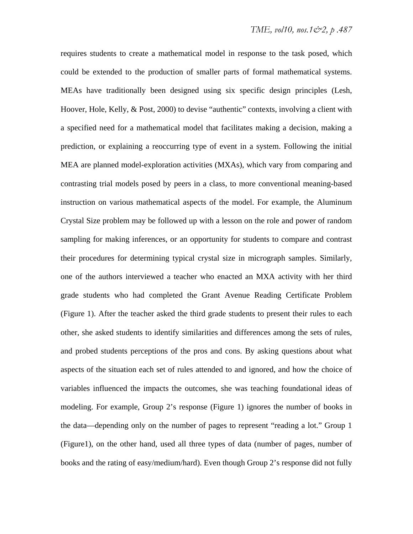requires students to create a mathematical model in response to the task posed, which could be extended to the production of smaller parts of formal mathematical systems. MEAs have traditionally been designed using six specific design principles (Lesh, Hoover, Hole, Kelly, & Post, 2000) to devise "authentic" contexts, involving a client with a specified need for a mathematical model that facilitates making a decision, making a prediction, or explaining a reoccurring type of event in a system. Following the initial MEA are planned model-exploration activities (MXAs), which vary from comparing and contrasting trial models posed by peers in a class, to more conventional meaning-based instruction on various mathematical aspects of the model. For example, the Aluminum Crystal Size problem may be followed up with a lesson on the role and power of random sampling for making inferences, or an opportunity for students to compare and contrast their procedures for determining typical crystal size in micrograph samples. Similarly, one of the authors interviewed a teacher who enacted an MXA activity with her third grade students who had completed the Grant Avenue Reading Certificate Problem (Figure 1). After the teacher asked the third grade students to present their rules to each other, she asked students to identify similarities and differences among the sets of rules, and probed students perceptions of the pros and cons. By asking questions about what aspects of the situation each set of rules attended to and ignored, and how the choice of variables influenced the impacts the outcomes, she was teaching foundational ideas of modeling. For example, Group 2's response (Figure 1) ignores the number of books in the data—depending only on the number of pages to represent "reading a lot." Group 1 (Figure1), on the other hand, used all three types of data (number of pages, number of books and the rating of easy/medium/hard). Even though Group 2's response did not fully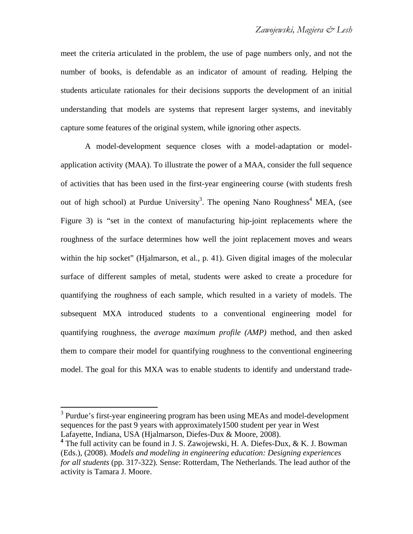meet the criteria articulated in the problem, the use of page numbers only, and not the number of books, is defendable as an indicator of amount of reading. Helping the students articulate rationales for their decisions supports the development of an initial understanding that models are systems that represent larger systems, and inevitably capture some features of the original system, while ignoring other aspects.

A model-development sequence closes with a model-adaptation or modelapplication activity (MAA). To illustrate the power of a MAA, consider the full sequence of activities that has been used in the first-year engineering course (with students fresh out of high school) at Purdue University<sup>3</sup>. The opening Nano Roughness<sup>4</sup> MEA, (see Figure 3) is "set in the context of manufacturing hip-joint replacements where the roughness of the surface determines how well the joint replacement moves and wears within the hip socket" (Hjalmarson, et al., p. 41). Given digital images of the molecular surface of different samples of metal, students were asked to create a procedure for quantifying the roughness of each sample, which resulted in a variety of models. The subsequent MXA introduced students to a conventional engineering model for quantifying roughness, the *average maximum profile (AMP)* method, and then asked them to compare their model for quantifying roughness to the conventional engineering model. The goal for this MXA was to enable students to identify and understand trade-

 $\overline{a}$ 

<sup>&</sup>lt;sup>3</sup> Purdue's first-year engineering program has been using MEAs and model-development sequences for the past 9 years with approximately1500 student per year in West Lafayette, Indiana, USA (Hjalmarson, Diefes-Dux & Moore, 2008).

**<sup>4</sup>** The full activity can be found in J. S. Zawojewski, H. A. Diefes-Dux, & K. J. Bowman (Eds.), (2008). *Models and modeling in engineering education: Designing experiences for all students* (pp. 317-322)*.* Sense: Rotterdam, The Netherlands. The lead author of the activity is Tamara J. Moore.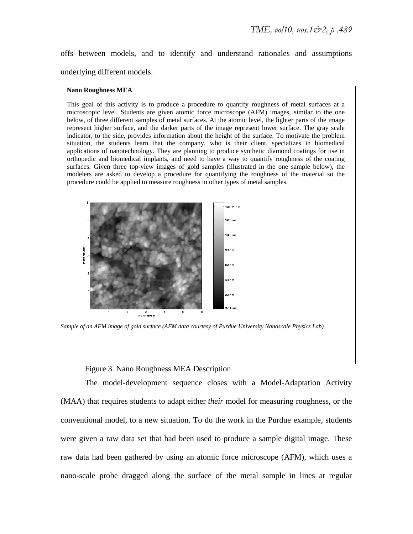offs between models, and to identify and understand rationales and assumptions underlying different models.

#### **Nano Roughness MEA**

This goal of this activity is to produce a procedure to quantify roughness of metal surfaces at a microscopic level. Students are given atomic force microscope (AFM) images, similar to the one below, of three different samples of metal surfaces. At the atomic level, the lighter parts of the image represent higher surface, and the darker parts of the image represent lower surface. The gray scale indicator, to the side, provides information about the height of the surface. To motivate the problem situation, the students learn that the company, who is their client, specializes in biomedical applications of nanotechnology. They are planning to produce synthetic diamond coatings for use in orthopedic and biomedical implants, and need to have a way to quantify roughness of the coating surfaces. Given three top-view images of gold samples (illustrated in the one sample below), the modelers are asked to develop a procedure for quantifying the roughness of the material so the procedure could be applied to measure roughness in other types of metal samples.



*Sample of an AFM image of gold surface (AFM data courtesy of Purdue University Nanoscale Physics Lab)* 

#### Figure 3. Nano Roughness MEA Description

The model-development sequence closes with a Model-Adaptation Activity (MAA) that requires students to adapt either *their* model for measuring roughness, or the conventional model, to a new situation. To do the work in the Purdue example, students were given a raw data set that had been used to produce a sample digital image. These raw data had been gathered by using an atomic force microscope (AFM), which uses a nano-scale probe dragged along the surface of the metal sample in lines at regular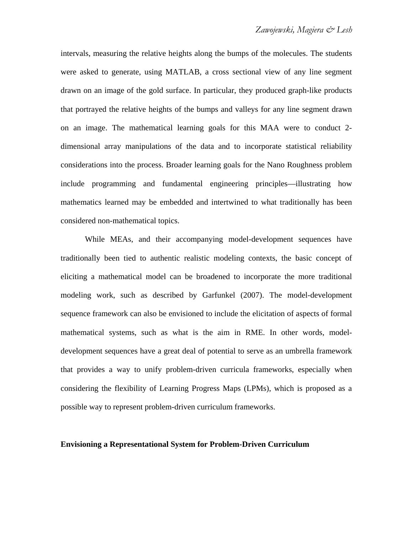intervals, measuring the relative heights along the bumps of the molecules. The students were asked to generate, using MATLAB, a cross sectional view of any line segment drawn on an image of the gold surface. In particular, they produced graph-like products that portrayed the relative heights of the bumps and valleys for any line segment drawn on an image. The mathematical learning goals for this MAA were to conduct 2 dimensional array manipulations of the data and to incorporate statistical reliability considerations into the process. Broader learning goals for the Nano Roughness problem include programming and fundamental engineering principles—illustrating how mathematics learned may be embedded and intertwined to what traditionally has been considered non-mathematical topics.

While MEAs, and their accompanying model-development sequences have traditionally been tied to authentic realistic modeling contexts, the basic concept of eliciting a mathematical model can be broadened to incorporate the more traditional modeling work, such as described by Garfunkel (2007). The model-development sequence framework can also be envisioned to include the elicitation of aspects of formal mathematical systems, such as what is the aim in RME. In other words, modeldevelopment sequences have a great deal of potential to serve as an umbrella framework that provides a way to unify problem-driven curricula frameworks, especially when considering the flexibility of Learning Progress Maps (LPMs), which is proposed as a possible way to represent problem-driven curriculum frameworks.

#### **Envisioning a Representational System for Problem-Driven Curriculum**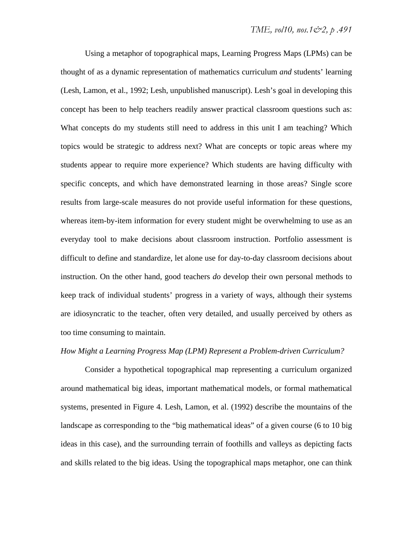Using a metaphor of topographical maps, Learning Progress Maps (LPMs) can be thought of as a dynamic representation of mathematics curriculum *and* students' learning (Lesh, Lamon, et al., 1992; Lesh, unpublished manuscript). Lesh's goal in developing this concept has been to help teachers readily answer practical classroom questions such as: What concepts do my students still need to address in this unit I am teaching? Which topics would be strategic to address next? What are concepts or topic areas where my students appear to require more experience? Which students are having difficulty with specific concepts, and which have demonstrated learning in those areas? Single score results from large-scale measures do not provide useful information for these questions, whereas item-by-item information for every student might be overwhelming to use as an everyday tool to make decisions about classroom instruction. Portfolio assessment is difficult to define and standardize, let alone use for day-to-day classroom decisions about instruction. On the other hand, good teachers *do* develop their own personal methods to keep track of individual students' progress in a variety of ways, although their systems are idiosyncratic to the teacher, often very detailed, and usually perceived by others as too time consuming to maintain.

#### *How Might a Learning Progress Map (LPM) Represent a Problem-driven Curriculum?*

Consider a hypothetical topographical map representing a curriculum organized around mathematical big ideas, important mathematical models, or formal mathematical systems, presented in Figure 4. Lesh, Lamon, et al. (1992) describe the mountains of the landscape as corresponding to the "big mathematical ideas" of a given course (6 to 10 big ideas in this case), and the surrounding terrain of foothills and valleys as depicting facts and skills related to the big ideas. Using the topographical maps metaphor, one can think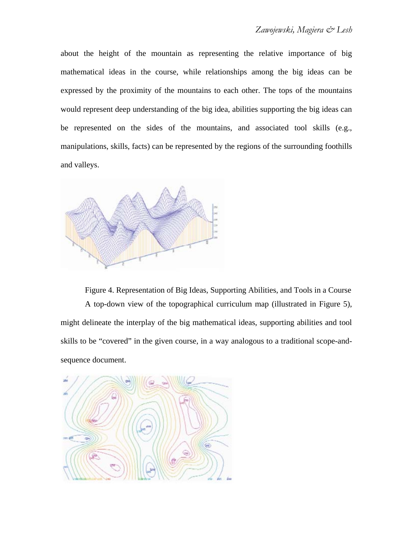about the height of the mountain as representing the relative importance of big mathematical ideas in the course, while relationships among the big ideas can be expressed by the proximity of the mountains to each other. The tops of the mountains would represent deep understanding of the big idea, abilities supporting the big ideas can be represented on the sides of the mountains, and associated tool skills (e.g., manipulations, skills, facts) can be represented by the regions of the surrounding foothills and valleys.



Figure 4. Representation of Big Ideas, Supporting Abilities, and Tools in a Course A top-down view of the topographical curriculum map (illustrated in Figure 5), might delineate the interplay of the big mathematical ideas, supporting abilities and tool skills to be "covered" in the given course, in a way analogous to a traditional scope-andsequence document.

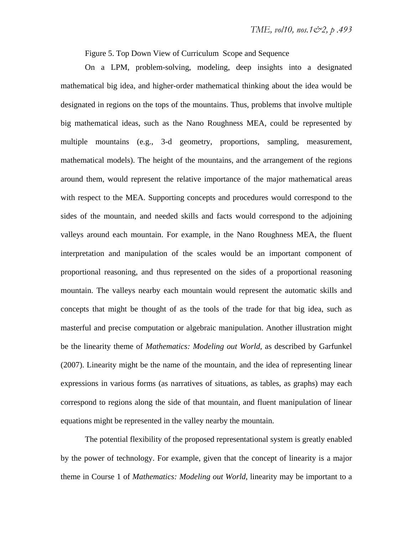Figure 5. Top Down View of Curriculum Scope and Sequence

On a LPM, problem-solving, modeling, deep insights into a designated mathematical big idea, and higher-order mathematical thinking about the idea would be designated in regions on the tops of the mountains. Thus, problems that involve multiple big mathematical ideas, such as the Nano Roughness MEA, could be represented by multiple mountains (e.g., 3-d geometry, proportions, sampling, measurement, mathematical models). The height of the mountains, and the arrangement of the regions around them, would represent the relative importance of the major mathematical areas with respect to the MEA. Supporting concepts and procedures would correspond to the sides of the mountain, and needed skills and facts would correspond to the adjoining valleys around each mountain. For example, in the Nano Roughness MEA, the fluent interpretation and manipulation of the scales would be an important component of proportional reasoning, and thus represented on the sides of a proportional reasoning mountain. The valleys nearby each mountain would represent the automatic skills and concepts that might be thought of as the tools of the trade for that big idea, such as masterful and precise computation or algebraic manipulation. Another illustration might be the linearity theme of *Mathematics: Modeling out World*, as described by Garfunkel (2007). Linearity might be the name of the mountain, and the idea of representing linear expressions in various forms (as narratives of situations, as tables, as graphs) may each correspond to regions along the side of that mountain, and fluent manipulation of linear equations might be represented in the valley nearby the mountain.

The potential flexibility of the proposed representational system is greatly enabled by the power of technology. For example, given that the concept of linearity is a major theme in Course 1 of *Mathematics: Modeling out World*, linearity may be important to a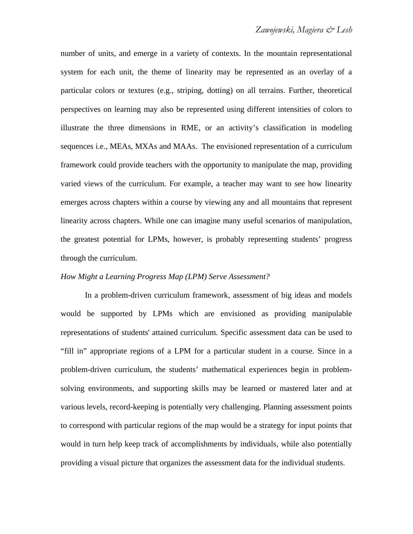number of units, and emerge in a variety of contexts. In the mountain representational system for each unit, the theme of linearity may be represented as an overlay of a particular colors or textures (e.g., striping, dotting) on all terrains. Further, theoretical perspectives on learning may also be represented using different intensities of colors to illustrate the three dimensions in RME, or an activity's classification in modeling sequences i.e., MEAs, MXAs and MAAs. The envisioned representation of a curriculum framework could provide teachers with the opportunity to manipulate the map, providing varied views of the curriculum. For example, a teacher may want to see how linearity emerges across chapters within a course by viewing any and all mountains that represent linearity across chapters. While one can imagine many useful scenarios of manipulation, the greatest potential for LPMs, however, is probably representing students' progress through the curriculum.

#### *How Might a Learning Progress Map (LPM) Serve Assessment?*

In a problem-driven curriculum framework, assessment of big ideas and models would be supported by LPMs which are envisioned as providing manipulable representations of students' attained curriculum. Specific assessment data can be used to "fill in" appropriate regions of a LPM for a particular student in a course. Since in a problem-driven curriculum, the students' mathematical experiences begin in problemsolving environments, and supporting skills may be learned or mastered later and at various levels, record-keeping is potentially very challenging. Planning assessment points to correspond with particular regions of the map would be a strategy for input points that would in turn help keep track of accomplishments by individuals, while also potentially providing a visual picture that organizes the assessment data for the individual students.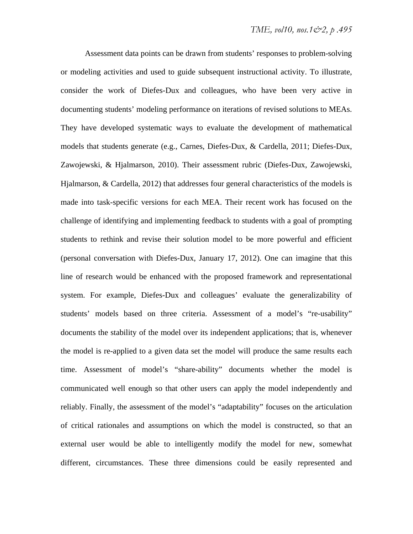Assessment data points can be drawn from students' responses to problem-solving or modeling activities and used to guide subsequent instructional activity. To illustrate, consider the work of Diefes-Dux and colleagues, who have been very active in documenting students' modeling performance on iterations of revised solutions to MEAs. They have developed systematic ways to evaluate the development of mathematical models that students generate (e.g., Carnes, Diefes-Dux, & Cardella, 2011; Diefes-Dux, Zawojewski, & Hjalmarson, 2010). Their assessment rubric (Diefes-Dux, Zawojewski, Hjalmarson, & Cardella, 2012) that addresses four general characteristics of the models is made into task-specific versions for each MEA. Their recent work has focused on the challenge of identifying and implementing feedback to students with a goal of prompting students to rethink and revise their solution model to be more powerful and efficient (personal conversation with Diefes-Dux, January 17, 2012). One can imagine that this line of research would be enhanced with the proposed framework and representational system. For example, Diefes-Dux and colleagues' evaluate the generalizability of students' models based on three criteria. Assessment of a model's "re-usability" documents the stability of the model over its independent applications; that is, whenever the model is re-applied to a given data set the model will produce the same results each time. Assessment of model's "share-ability" documents whether the model is communicated well enough so that other users can apply the model independently and reliably. Finally, the assessment of the model's "adaptability" focuses on the articulation of critical rationales and assumptions on which the model is constructed, so that an external user would be able to intelligently modify the model for new, somewhat different, circumstances. These three dimensions could be easily represented and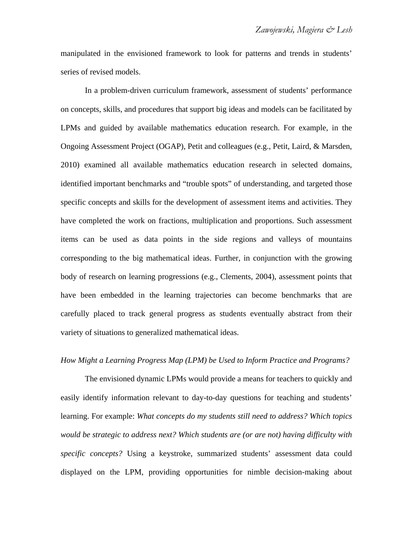manipulated in the envisioned framework to look for patterns and trends in students' series of revised models.

In a problem-driven curriculum framework, assessment of students' performance on concepts, skills, and procedures that support big ideas and models can be facilitated by LPMs and guided by available mathematics education research. For example, in the Ongoing Assessment Project (OGAP), Petit and colleagues (e.g., Petit, Laird, & Marsden, 2010) examined all available mathematics education research in selected domains, identified important benchmarks and "trouble spots" of understanding, and targeted those specific concepts and skills for the development of assessment items and activities. They have completed the work on fractions, multiplication and proportions. Such assessment items can be used as data points in the side regions and valleys of mountains corresponding to the big mathematical ideas. Further, in conjunction with the growing body of research on learning progressions (e.g., Clements, 2004), assessment points that have been embedded in the learning trajectories can become benchmarks that are carefully placed to track general progress as students eventually abstract from their variety of situations to generalized mathematical ideas.

## *How Might a Learning Progress Map (LPM) be Used to Inform Practice and Programs?*

The envisioned dynamic LPMs would provide a means for teachers to quickly and easily identify information relevant to day-to-day questions for teaching and students' learning. For example: *What concepts do my students still need to address? Which topics would be strategic to address next? Which students are (or are not) having difficulty with specific concepts?* Using a keystroke, summarized students' assessment data could displayed on the LPM, providing opportunities for nimble decision-making about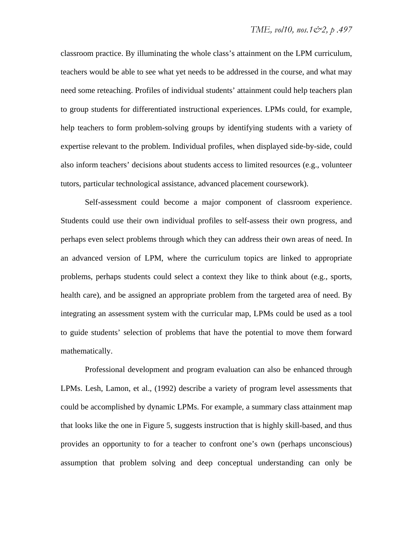classroom practice. By illuminating the whole class's attainment on the LPM curriculum, teachers would be able to see what yet needs to be addressed in the course, and what may need some reteaching. Profiles of individual students' attainment could help teachers plan to group students for differentiated instructional experiences. LPMs could, for example, help teachers to form problem-solving groups by identifying students with a variety of expertise relevant to the problem. Individual profiles, when displayed side-by-side, could also inform teachers' decisions about students access to limited resources (e.g., volunteer tutors, particular technological assistance, advanced placement coursework).

Self-assessment could become a major component of classroom experience. Students could use their own individual profiles to self-assess their own progress, and perhaps even select problems through which they can address their own areas of need. In an advanced version of LPM, where the curriculum topics are linked to appropriate problems, perhaps students could select a context they like to think about (e.g., sports, health care), and be assigned an appropriate problem from the targeted area of need. By integrating an assessment system with the curricular map, LPMs could be used as a tool to guide students' selection of problems that have the potential to move them forward mathematically.

Professional development and program evaluation can also be enhanced through LPMs. Lesh, Lamon, et al., (1992) describe a variety of program level assessments that could be accomplished by dynamic LPMs. For example, a summary class attainment map that looks like the one in Figure 5, suggests instruction that is highly skill-based, and thus provides an opportunity to for a teacher to confront one's own (perhaps unconscious) assumption that problem solving and deep conceptual understanding can only be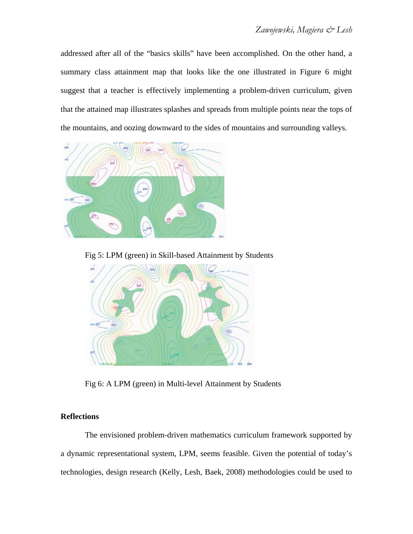addressed after all of the "basics skills" have been accomplished. On the other hand, a summary class attainment map that looks like the one illustrated in Figure 6 might suggest that a teacher is effectively implementing a problem-driven curriculum, given that the attained map illustrates splashes and spreads from multiple points near the tops of the mountains, and oozing downward to the sides of mountains and surrounding valleys.



Fig 5: LPM (green) in Skill-based Attainment by Students



Fig 6: A LPM (green) in Multi-level Attainment by Students

## **Reflections**

The envisioned problem-driven mathematics curriculum framework supported by a dynamic representational system, LPM, seems feasible. Given the potential of today's technologies, design research (Kelly, Lesh, Baek, 2008) methodologies could be used to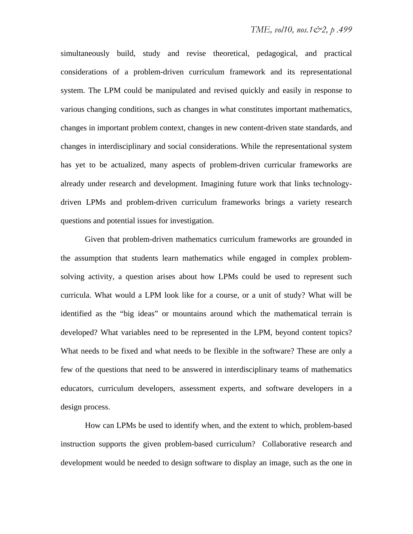simultaneously build, study and revise theoretical, pedagogical, and practical considerations of a problem-driven curriculum framework and its representational system. The LPM could be manipulated and revised quickly and easily in response to various changing conditions, such as changes in what constitutes important mathematics, changes in important problem context, changes in new content-driven state standards, and changes in interdisciplinary and social considerations. While the representational system has yet to be actualized, many aspects of problem-driven curricular frameworks are already under research and development. Imagining future work that links technologydriven LPMs and problem-driven curriculum frameworks brings a variety research questions and potential issues for investigation.

Given that problem-driven mathematics curriculum frameworks are grounded in the assumption that students learn mathematics while engaged in complex problemsolving activity, a question arises about how LPMs could be used to represent such curricula. What would a LPM look like for a course, or a unit of study? What will be identified as the "big ideas" or mountains around which the mathematical terrain is developed? What variables need to be represented in the LPM, beyond content topics? What needs to be fixed and what needs to be flexible in the software? These are only a few of the questions that need to be answered in interdisciplinary teams of mathematics educators, curriculum developers, assessment experts, and software developers in a design process.

How can LPMs be used to identify when, and the extent to which, problem-based instruction supports the given problem-based curriculum? Collaborative research and development would be needed to design software to display an image, such as the one in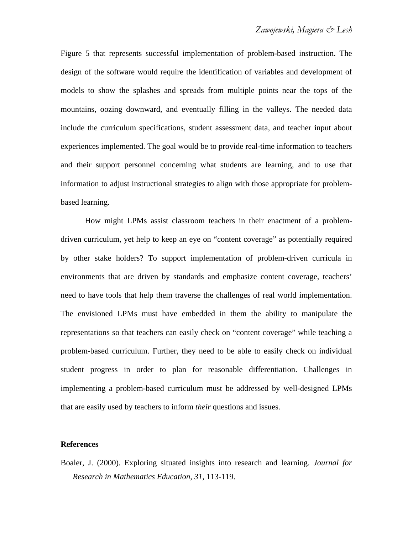Figure 5 that represents successful implementation of problem-based instruction. The design of the software would require the identification of variables and development of models to show the splashes and spreads from multiple points near the tops of the mountains, oozing downward, and eventually filling in the valleys. The needed data include the curriculum specifications, student assessment data, and teacher input about experiences implemented. The goal would be to provide real-time information to teachers and their support personnel concerning what students are learning, and to use that information to adjust instructional strategies to align with those appropriate for problembased learning.

How might LPMs assist classroom teachers in their enactment of a problemdriven curriculum, yet help to keep an eye on "content coverage" as potentially required by other stake holders? To support implementation of problem-driven curricula in environments that are driven by standards and emphasize content coverage, teachers' need to have tools that help them traverse the challenges of real world implementation. The envisioned LPMs must have embedded in them the ability to manipulate the representations so that teachers can easily check on "content coverage" while teaching a problem-based curriculum. Further, they need to be able to easily check on individual student progress in order to plan for reasonable differentiation. Challenges in implementing a problem-based curriculum must be addressed by well-designed LPMs that are easily used by teachers to inform *their* questions and issues.

#### **References**

Boaler, J. (2000). Exploring situated insights into research and learning. *Journal for Research in Mathematics Education, 31,* 113-119.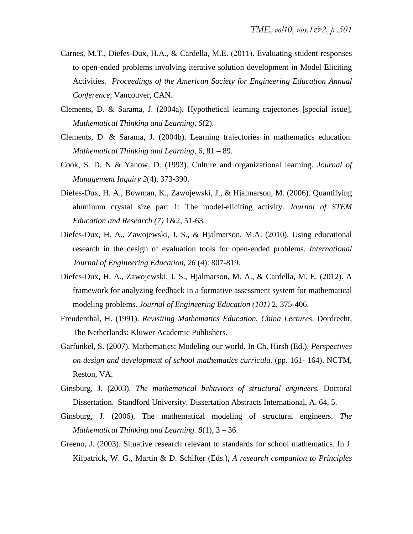- Carnes, M.T., Diefes-Dux, H.A., & Cardella, M.E. (2011). Evaluating student responses to open-ended problems involving iterative solution development in Model Eliciting Activities. *Proceedings of the American Society for Engineering Education Annual Conference*, Vancouver, CAN.
- Clements, D. & Sarama, J. (2004a). Hypothetical learning trajectories [special issue], *Mathematical Thinking and Learning*, *6*(2).
- Clements, D. & Sarama, J. (2004b). Learning trajectories in mathematics education. *Mathematical Thinking and Learning*, 6, 81 – 89.
- Cook, S. D. N & Yanow, D. (1993). Culture and organizational learning. *Journal of Management Inquiry 2*(4), 373-390.
- Diefes-Dux, H. A., Bowman, K., Zawojewski, J., & Hjalmarson, M. (2006). Quantifying aluminum crystal size part 1: The model-eliciting activity. *Journal of STEM Education and Research (7)* 1&2, 51-63*.*
- Diefes-Dux, H. A., Zawojewski, J. S., & Hjalmarson, M.A. (2010). Using educational research in the design of evaluation tools for open-ended problems. *International Journal of Engineering Education*, *26* (4): 807-819.
- Diefes-Dux, H. A., Zawojewski, J. S., Hjalmarson, M. A., & Cardella, M. E. (2012). A framework for analyzing feedback in a formative assessment system for mathematical modeling problems. *Journal of Engineering Education (101)* 2, 375-406.
- Freudenthal, H. (1991). *Revisiting Mathematics Education. China Lectures*. Dordrecht, The Netherlands: Kluwer Academic Publishers.
- Garfunkel, S. (2007). Mathematics: Modeling our world. In Ch. Hirsh (Ed.). *Perspectives on design and development of school mathematics curricula*. (pp. 161- 164). NCTM, Reston, VA.
- Ginsburg, J. (2003). *The mathematical behaviors of structural engineers.* Doctoral Dissertation. Standford University. Dissertation Abstracts International, A. 64, 5.
- Ginsburg, J. (2006). The mathematical modeling of structural engineers. *The Mathematical Thinking and Learning. 8*(1), 3 – 36.
- Greeno, J. (2003). Situative research relevant to standards for school mathematics. In J. Kilpatrick, W. G., Martin & D. Schifter (Eds.), *A research companion to Principles*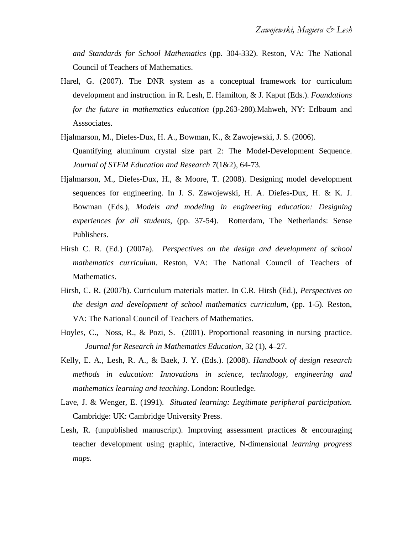*and Standards for School Mathematics* (pp. 304-332). Reston, VA: The National Council of Teachers of Mathematics.

- Harel, G. (2007). The DNR system as a conceptual framework for curriculum development and instruction. in R. Lesh, E. Hamilton, & J. Kaput (Eds.). *Foundations for the future in mathematics education* (pp.263-280)*.*Mahweh, NY: Erlbaum and Asssociates.
- Hjalmarson, M., Diefes-Dux, H. A., Bowman, K., & Zawojewski, J. S. (2006). Quantifying aluminum crystal size part 2: The Model-Development Sequence. *Journal of STEM Education and Research 7*(1&2), 64-73*.*
- Hjalmarson, M., Diefes-Dux, H., & Moore, T. (2008). Designing model development sequences for engineering. In J. S. Zawojewski, H. A. Diefes-Dux, H. & K. J. Bowman (Eds.), *Models and modeling in engineering education: Designing experiences for all students*, (pp. 37-54). Rotterdam, The Netherlands: Sense Publishers.
- Hirsh C. R. (Ed.) (2007a). *Perspectives on the design and development of school mathematics curriculum*. Reston, VA: The National Council of Teachers of Mathematics.
- Hirsh, C. R. (2007b). Curriculum materials matter. In C.R. Hirsh (Ed.), *Perspectives on the design and development of school mathematics curriculum, (pp. 1-5). Reston,* VA: The National Council of Teachers of Mathematics.
- Hoyles, C., Noss, R., & Pozi, S. (2001). Proportional reasoning in nursing practice. *Journal for Research in Mathematics Education*, 32 (1), 4–27.
- Kelly, E. A., Lesh, R. A., & Baek, J. Y. (Eds.). (2008). *Handbook of design research methods in education: Innovations in science, technology, engineering and mathematics learning and teaching*. London: Routledge.
- Lave, J. & Wenger, E. (1991). *Situated learning: Legitimate peripheral participation.*  Cambridge: UK: Cambridge University Press.
- Lesh, R. (unpublished manuscript). Improving assessment practices & encouraging teacher development using graphic, interactive, N-dimensional *learning progress maps.*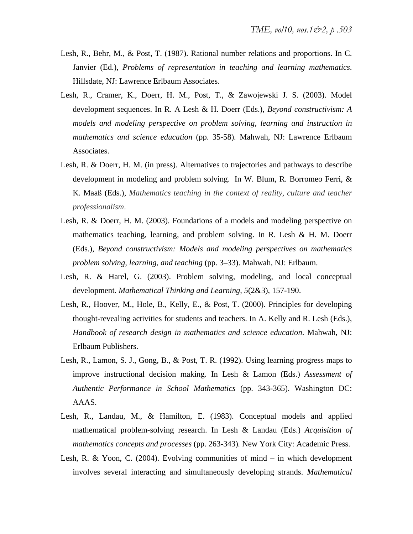- Lesh, R., Behr, M., & Post, T. (1987). Rational number relations and proportions. In C. Janvier (Ed.), *Problems of representation in teaching and learning mathematics*. Hillsdate, NJ: Lawrence Erlbaum Associates.
- Lesh, R., Cramer, K., Doerr, H. M., Post, T., & Zawojewski J. S. (2003). Model development sequences. In R. A Lesh & H. Doerr (Eds.), *Beyond constructivism: A models and modeling perspective on problem solving, learning and instruction in mathematics and science education* (pp. 35-58)*.* Mahwah, NJ: Lawrence Erlbaum Associates.
- Lesh, R. & Doerr, H. M. (in press). Alternatives to trajectories and pathways to describe development in modeling and problem solving. In W. Blum, R. Borromeo Ferri, & K. Maaß (Eds.), *Mathematics teaching in the context of reality, culture and teacher professionalism*.
- Lesh, R. & Doerr, H. M. (2003). Foundations of a models and modeling perspective on mathematics teaching, learning, and problem solving. In R. Lesh & H. M. Doerr (Eds.), *Beyond constructivism: Models and modeling perspectives on mathematics problem solving, learning, and teaching* (pp. 3–33). Mahwah, NJ: Erlbaum.
- Lesh, R. & Harel, G. (2003). Problem solving, modeling, and local conceptual development. *Mathematical Thinking and Learning, 5*(2&3), 157-190.
- Lesh, R., Hoover, M., Hole, B., Kelly, E., & Post, T. (2000). Principles for developing thought-revealing activities for students and teachers. In A. Kelly and R. Lesh (Eds.), *Handbook of research design in mathematics and science education*. Mahwah, NJ: Erlbaum Publishers.
- Lesh, R., Lamon, S. J., Gong, B., & Post, T. R. (1992). Using learning progress maps to improve instructional decision making. In Lesh & Lamon (Eds.) *Assessment of Authentic Performance in School Mathematics* (pp. 343-365). Washington DC: AAAS.
- Lesh, R., Landau, M., & Hamilton, E. (1983). Conceptual models and applied mathematical problem-solving research. In Lesh & Landau (Eds.) *Acquisition of mathematics concepts and processes* (pp. 263-343)*.* New York City: Academic Press.
- Lesh, R. & Yoon, C. (2004). Evolving communities of mind in which development involves several interacting and simultaneously developing strands. *Mathematical*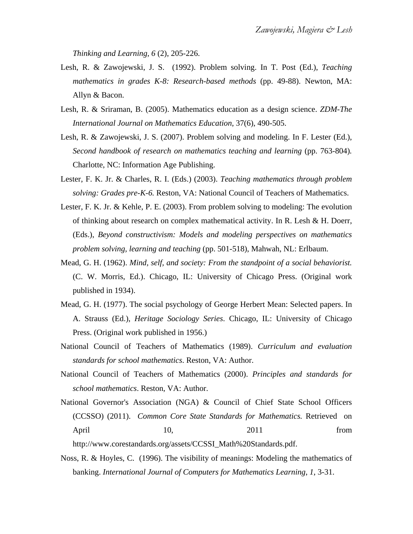*Thinking and Learning, 6* (2), 205-226.

- Lesh, R. & Zawojewski, J. S. (1992). Problem solving. In T. Post (Ed.), *Teaching mathematics in grades K-8: Research-based methods* (pp. 49-88). Newton, MA: Allyn & Bacon.
- Lesh, R. & Sriraman, B. (2005). Mathematics education as a design science. *ZDM-The International Journal on Mathematics Education*, 37(6), 490-505.
- Lesh, R. & Zawojewski, J. S. (2007). Problem solving and modeling. In F. Lester (Ed.), *Second handbook of research on mathematics teaching and learning* (pp. 763-804)*.*  Charlotte, NC: Information Age Publishing.
- Lester, F. K. Jr. & Charles, R. I. (Eds.) (2003). *Teaching mathematics through problem solving: Grades pre-K-6.* Reston, VA: National Council of Teachers of Mathematics.
- Lester, F. K. Jr. & Kehle, P. E. (2003). From problem solving to modeling: The evolution of thinking about research on complex mathematical activity. In R. Lesh & H. Doerr, (Eds.), *Beyond constructivism: Models and modeling perspectives on mathematics problem solving, learning and teaching* (pp. 501-518), Mahwah, NL: Erlbaum.
- Mead, G. H. (1962). *Mind, self, and society: From the standpoint of a social behaviorist.*  (C. W. Morris, Ed.). Chicago, IL: University of Chicago Press. (Original work published in 1934).
- Mead, G. H. (1977). The social psychology of George Herbert Mean: Selected papers. In A. Strauss (Ed.), *Heritage Sociology Series*. Chicago, IL: University of Chicago Press. (Original work published in 1956.)
- National Council of Teachers of Mathematics (1989). *Curriculum and evaluation standards for school mathematics*. Reston, VA: Author.
- National Council of Teachers of Mathematics (2000). *Principles and standards for school mathematics*. Reston, VA: Author.
- National Governor's Association (NGA) & Council of Chief State School Officers (CCSSO) (2011). *Common Core State Standards for Mathematics.* Retrieved on April 10, 2011 from http://www.corestandards.org/assets/CCSSI\_Math%20Standards.pdf.
- Noss, R. & Hoyles, C. (1996). The visibility of meanings: Modeling the mathematics of banking. *International Journal of Computers for Mathematics Learning*, *1*, 3-31.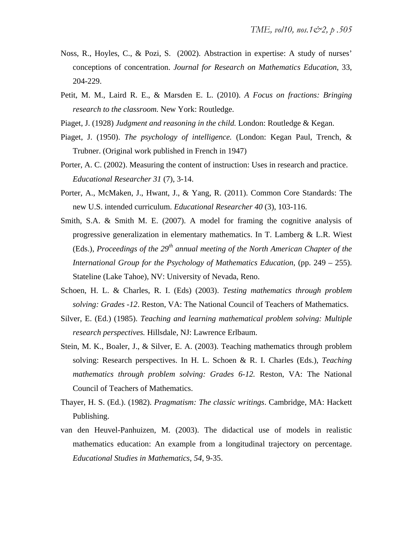- Noss, R., Hoyles, C., & Pozi, S. (2002). Abstraction in expertise: A study of nurses' conceptions of concentration. *Journal for Research on Mathematics Education*, 33, 204-229.
- Petit, M. M., Laird R. E., & Marsden E. L. (2010). *A Focus on fractions: Bringing research to the classroom.* New York: Routledge.
- Piaget, J. (1928) *Judgment and reasoning in the child.* London: Routledge & Kegan.
- Piaget, J. (1950). *The psychology of intelligence.* (London: Kegan Paul, Trench, & Trubner. (Original work published in French in 1947)
- Porter, A. C. (2002). Measuring the content of instruction: Uses in research and practice. *Educational Researcher 31* (7), 3-14.
- Porter, A., McMaken, J., Hwant, J., & Yang, R. (2011). Common Core Standards: The new U.S. intended curriculum. *Educational Researcher 40* (3), 103-116.
- Smith, S.A. & Smith M. E. (2007). A model for framing the cognitive analysis of progressive generalization in elementary mathematics. In T. Lamberg  $\&$  L.R. Wiest (Eds.), *Proceedings of the 29<sup>th</sup> annual meeting of the North American Chapter of the International Group for the Psychology of Mathematics Education*, (pp. 249 – 255). Stateline (Lake Tahoe), NV: University of Nevada, Reno.
- Schoen, H. L. & Charles, R. I. (Eds) (2003). *Testing mathematics through problem solving: Grades -12*. Reston, VA: The National Council of Teachers of Mathematics.
- Silver, E. (Ed.) (1985). *Teaching and learning mathematical problem solving: Multiple research perspectives.* Hillsdale, NJ: Lawrence Erlbaum.
- Stein, M. K., Boaler, J., & Silver, E. A. (2003). Teaching mathematics through problem solving: Research perspectives. In H. L. Schoen & R. I. Charles (Eds.), *Teaching mathematics through problem solving: Grades 6-12.* Reston, VA: The National Council of Teachers of Mathematics.
- Thayer, H. S. (Ed.). (1982). *Pragmatism: The classic writings*. Cambridge, MA: Hackett Publishing.
- van den Heuvel-Panhuizen, M. (2003). The didactical use of models in realistic mathematics education: An example from a longitudinal trajectory on percentage. *Educational Studies in Mathematics*, *54*, 9-35.